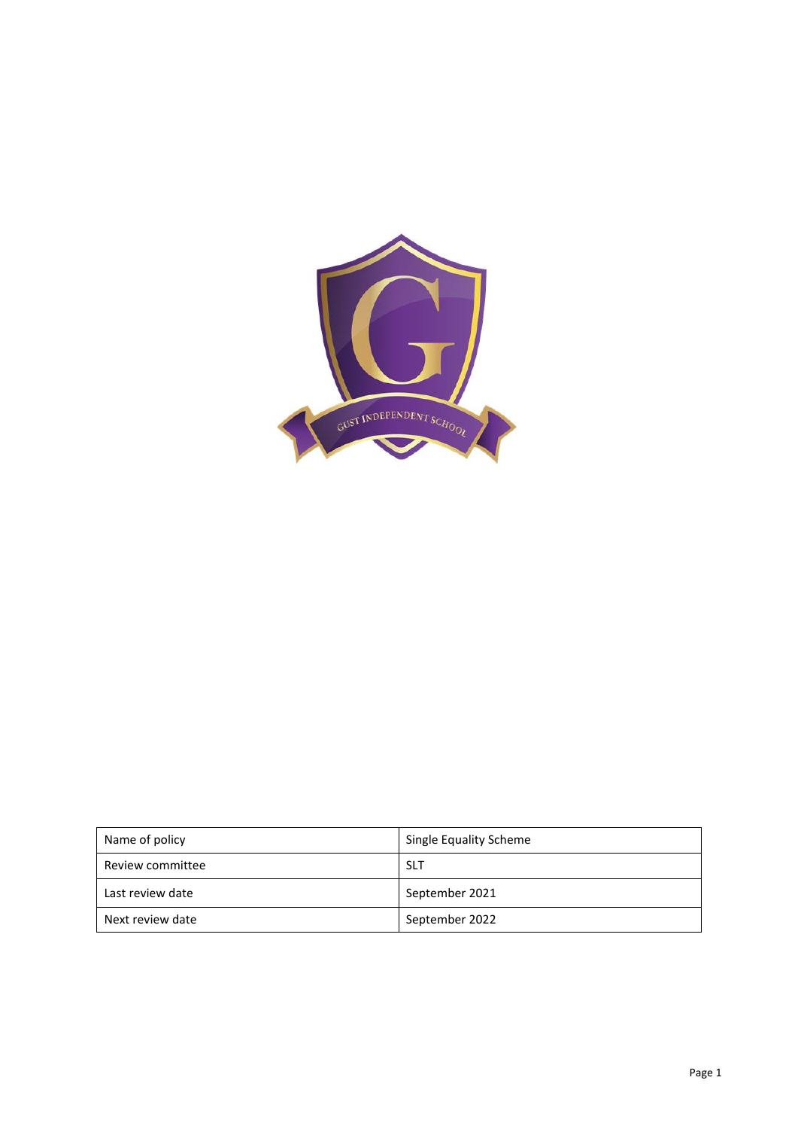

| Name of policy   | Single Equality Scheme |  |  |
|------------------|------------------------|--|--|
| Review committee | <b>SLT</b>             |  |  |
| Last review date | September 2021         |  |  |
| Next review date | September 2022         |  |  |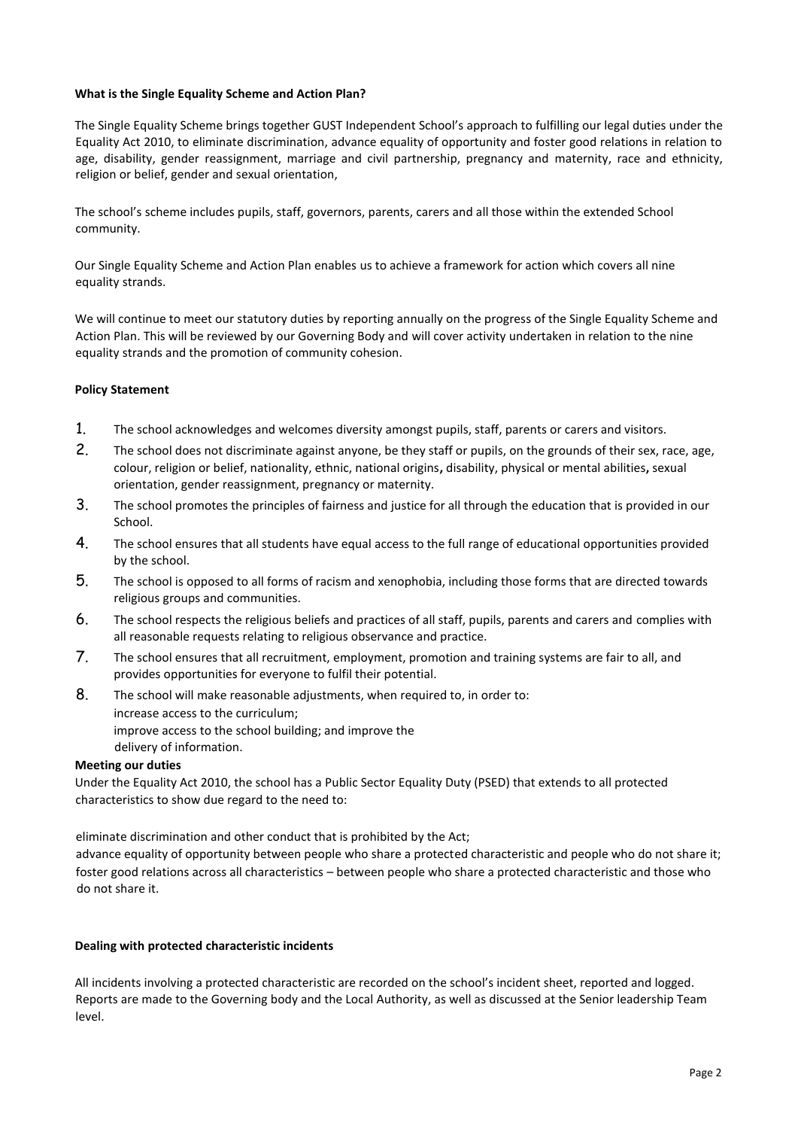## **What is the Single Equality Scheme and Action Plan?**

The Single Equality Scheme brings together GUST Independent School's approach to fulfilling our legal duties under the Equality Act 2010, to eliminate discrimination, advance equality of opportunity and foster good relations in relation to age, disability, gender reassignment, marriage and civil partnership, pregnancy and maternity, race and ethnicity, religion or belief, gender and sexual orientation,

The school's scheme includes pupils, staff, governors, parents, carers and all those within the extended School community.

Our Single Equality Scheme and Action Plan enables us to achieve a framework for action which covers all nine equality strands.

We will continue to meet our statutory duties by reporting annually on the progress of the Single Equality Scheme and Action Plan. This will be reviewed by our Governing Body and will cover activity undertaken in relation to the nine equality strands and the promotion of community cohesion.

## **Policy Statement**

- 1. The school acknowledges and welcomes diversity amongst pupils, staff, parents or carers and visitors.
- 2. The school does not discriminate against anyone, be they staff or pupils, on the grounds of their sex, race, age, colour, religion or belief, nationality, ethnic, national origins**,** disability, physical or mental abilities**,** sexual orientation, gender reassignment, pregnancy or maternity.
- 3. The school promotes the principles of fairness and justice for all through the education that is provided in our School.
- 4. The school ensures that all students have equal access to the full range of educational opportunities provided by the school.
- 5. The school is opposed to all forms of racism and xenophobia, including those forms that are directed towards religious groups and communities.
- 6. The school respects the religious beliefs and practices of all staff, pupils, parents and carers and complies with all reasonable requests relating to religious observance and practice.
- 7. The school ensures that all recruitment, employment, promotion and training systems are fair to all, and provides opportunities for everyone to fulfil their potential.
- 8. The school will make reasonable adjustments, when required to, in order to: increase access to the curriculum; improve access to the school building; and improve the delivery of information.

## **Meeting our duties**

Under the Equality Act 2010, the school has a Public Sector Equality Duty (PSED) that extends to all protected characteristics to show due regard to the need to:

eliminate discrimination and other conduct that is prohibited by the Act;

advance equality of opportunity between people who share a protected characteristic and people who do not share it; foster good relations across all characteristics – between people who share a protected characteristic and those who do not share it.

#### **Dealing with protected characteristic incidents**

All incidents involving a protected characteristic are recorded on the school's incident sheet, reported and logged. Reports are made to the Governing body and the Local Authority, as well as discussed at the Senior leadership Team level.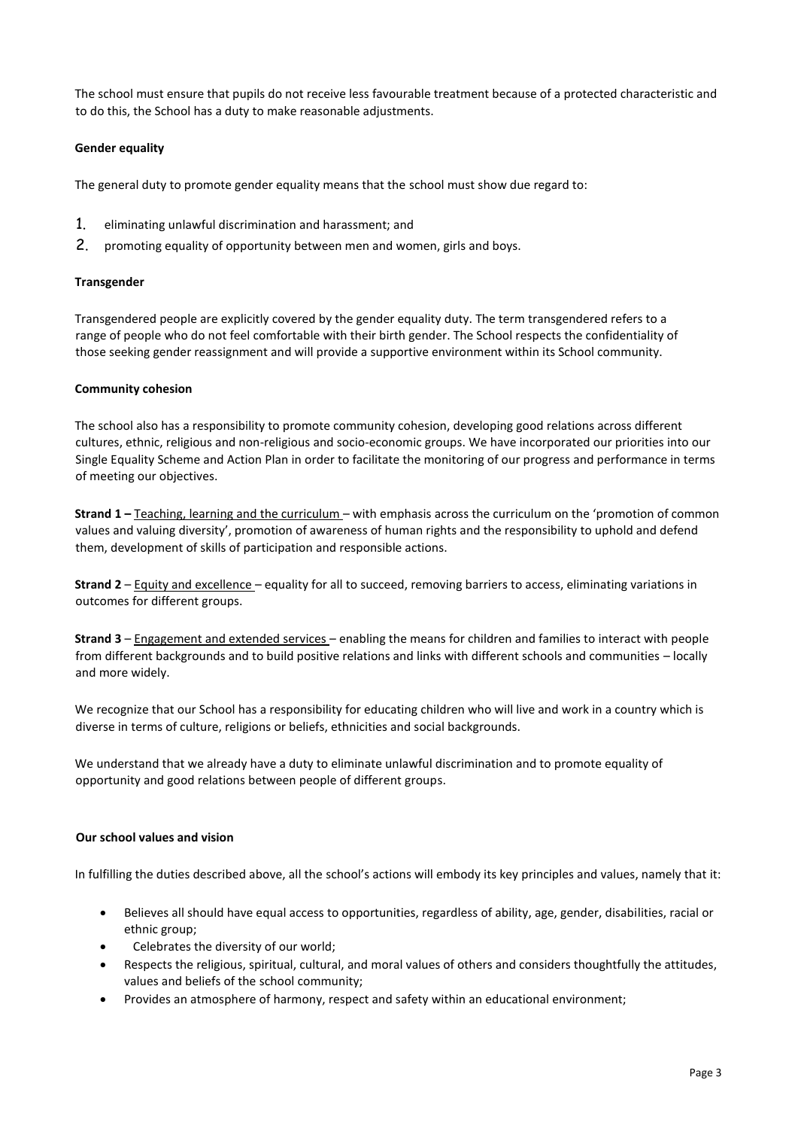The school must ensure that pupils do not receive less favourable treatment because of a protected characteristic and to do this, the School has a duty to make reasonable adjustments.

## **Gender equality**

The general duty to promote gender equality means that the school must show due regard to:

- 1. eliminating unlawful discrimination and harassment; and
- 2. promoting equality of opportunity between men and women, girls and boys.

## **Transgender**

Transgendered people are explicitly covered by the gender equality duty. The term transgendered refers to a range of people who do not feel comfortable with their birth gender. The School respects the confidentiality of those seeking gender reassignment and will provide a supportive environment within its School community.

#### **Community cohesion**

The school also has a responsibility to promote community cohesion, developing good relations across different cultures, ethnic, religious and non-religious and socio-economic groups. We have incorporated our priorities into our Single Equality Scheme and Action Plan in order to facilitate the monitoring of our progress and performance in terms of meeting our objectives.

**Strand 1 –** Teaching, learning and the curriculum – with emphasis across the curriculum on the 'promotion of common values and valuing diversity', promotion of awareness of human rights and the responsibility to uphold and defend them, development of skills of participation and responsible actions.

**Strand 2** – Equity and excellence – equality for all to succeed, removing barriers to access, eliminating variations in outcomes for different groups.

**Strand 3** – Engagement and extended services – enabling the means for children and families to interact with people from different backgrounds and to build positive relations and links with different schools and communities – locally and more widely.

We recognize that our School has a responsibility for educating children who will live and work in a country which is diverse in terms of culture, religions or beliefs, ethnicities and social backgrounds.

We understand that we already have a duty to eliminate unlawful discrimination and to promote equality of opportunity and good relations between people of different groups.

#### **Our school values and vision**

In fulfilling the duties described above, all the school's actions will embody its key principles and values, namely that it:

- Believes all should have equal access to opportunities, regardless of ability, age, gender, disabilities, racial or ethnic group;
- Celebrates the diversity of our world;
- Respects the religious, spiritual, cultural, and moral values of others and considers thoughtfully the attitudes, values and beliefs of the school community;
- Provides an atmosphere of harmony, respect and safety within an educational environment;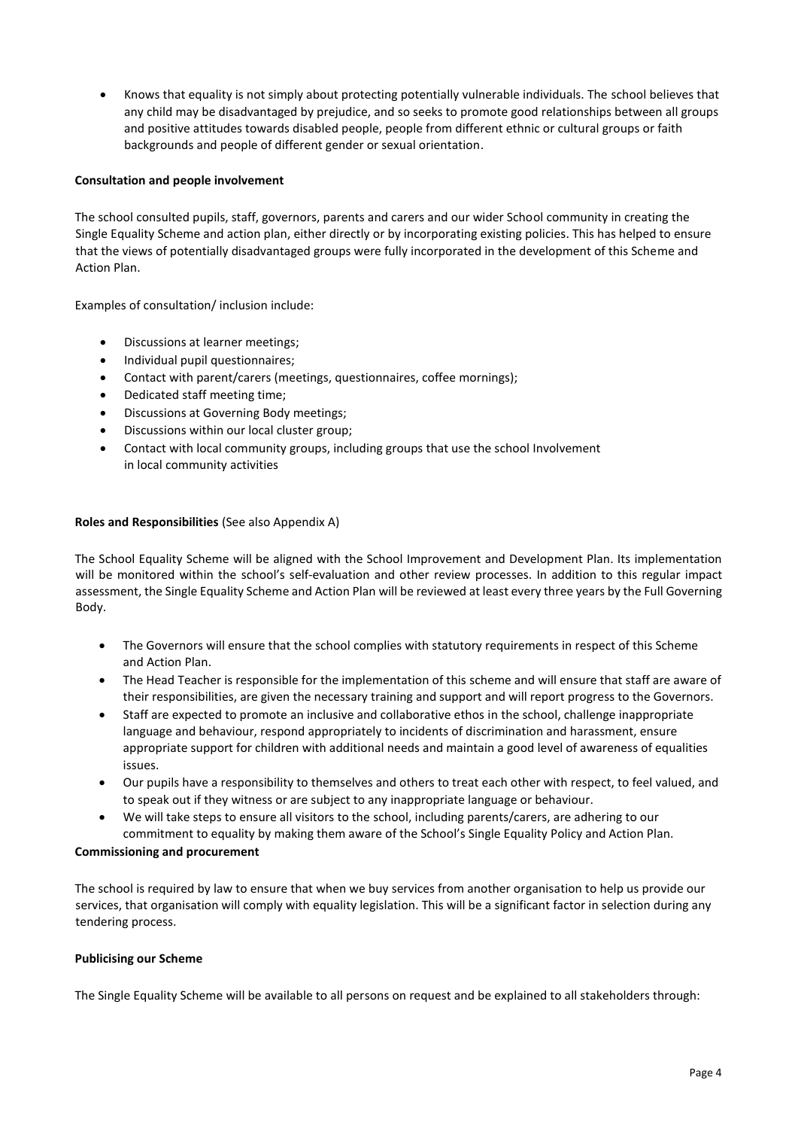• Knows that equality is not simply about protecting potentially vulnerable individuals. The school believes that any child may be disadvantaged by prejudice, and so seeks to promote good relationships between all groups and positive attitudes towards disabled people, people from different ethnic or cultural groups or faith backgrounds and people of different gender or sexual orientation.

## **Consultation and people involvement**

The school consulted pupils, staff, governors, parents and carers and our wider School community in creating the Single Equality Scheme and action plan, either directly or by incorporating existing policies. This has helped to ensure that the views of potentially disadvantaged groups were fully incorporated in the development of this Scheme and Action Plan.

Examples of consultation/ inclusion include:

- Discussions at learner meetings;
- Individual pupil questionnaires;
- Contact with parent/carers (meetings, questionnaires, coffee mornings);
- Dedicated staff meeting time;
- Discussions at Governing Body meetings;
- Discussions within our local cluster group;
- Contact with local community groups, including groups that use the school Involvement in local community activities

#### **Roles and Responsibilities** (See also Appendix A)

The School Equality Scheme will be aligned with the School Improvement and Development Plan. Its implementation will be monitored within the school's self-evaluation and other review processes. In addition to this regular impact assessment, the Single Equality Scheme and Action Plan will be reviewed at least every three years by the Full Governing Body.

- The Governors will ensure that the school complies with statutory requirements in respect of this Scheme and Action Plan.
- The Head Teacher is responsible for the implementation of this scheme and will ensure that staff are aware of their responsibilities, are given the necessary training and support and will report progress to the Governors.
- Staff are expected to promote an inclusive and collaborative ethos in the school, challenge inappropriate language and behaviour, respond appropriately to incidents of discrimination and harassment, ensure appropriate support for children with additional needs and maintain a good level of awareness of equalities issues.
- Our pupils have a responsibility to themselves and others to treat each other with respect, to feel valued, and to speak out if they witness or are subject to any inappropriate language or behaviour.
- We will take steps to ensure all visitors to the school, including parents/carers, are adhering to our commitment to equality by making them aware of the School's Single Equality Policy and Action Plan.

#### **Commissioning and procurement**

The school is required by law to ensure that when we buy services from another organisation to help us provide our services, that organisation will comply with equality legislation. This will be a significant factor in selection during any tendering process.

#### **Publicising our Scheme**

The Single Equality Scheme will be available to all persons on request and be explained to all stakeholders through: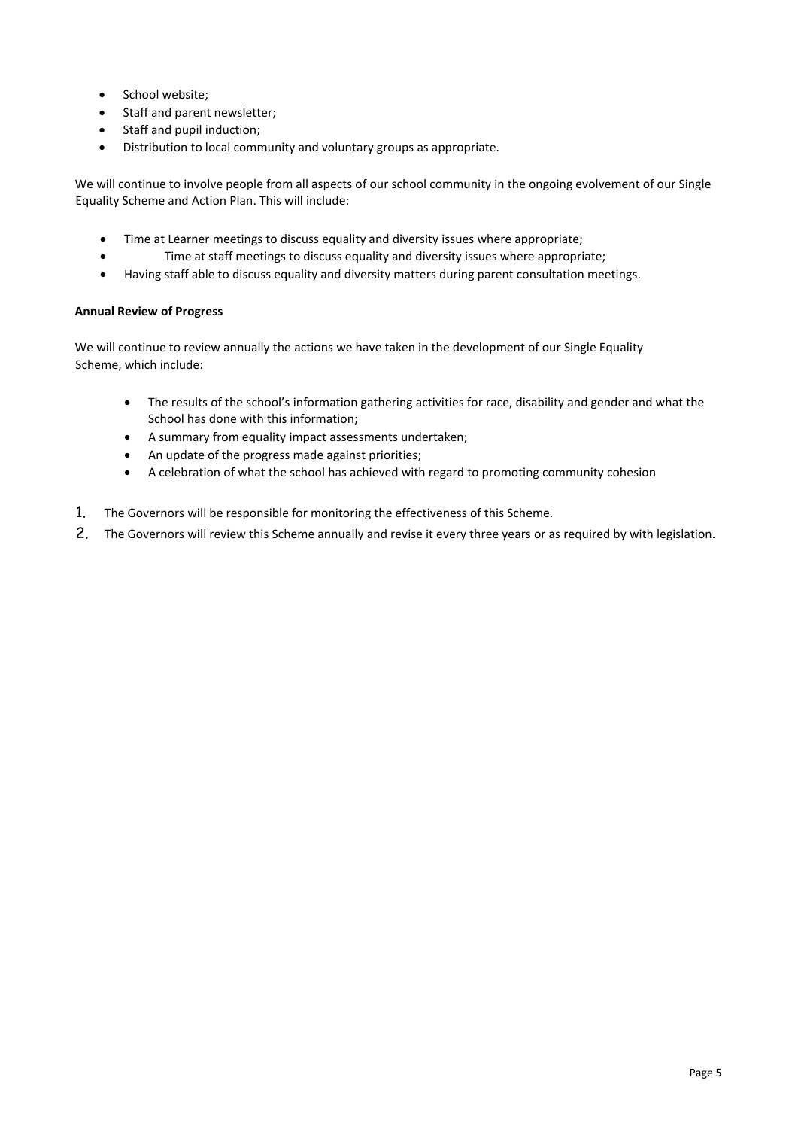- School website;
- Staff and parent newsletter;
- Staff and pupil induction;
- Distribution to local community and voluntary groups as appropriate.

We will continue to involve people from all aspects of our school community in the ongoing evolvement of our Single Equality Scheme and Action Plan. This will include:

- Time at Learner meetings to discuss equality and diversity issues where appropriate;
- Time at staff meetings to discuss equality and diversity issues where appropriate;
- Having staff able to discuss equality and diversity matters during parent consultation meetings.

## **Annual Review of Progress**

We will continue to review annually the actions we have taken in the development of our Single Equality Scheme, which include:

- The results of the school's information gathering activities for race, disability and gender and what the School has done with this information;
- A summary from equality impact assessments undertaken;
- An update of the progress made against priorities;
- A celebration of what the school has achieved with regard to promoting community cohesion
- 1. The Governors will be responsible for monitoring the effectiveness of this Scheme.
- 2. The Governors will review this Scheme annually and revise it every three years or as required by with legislation.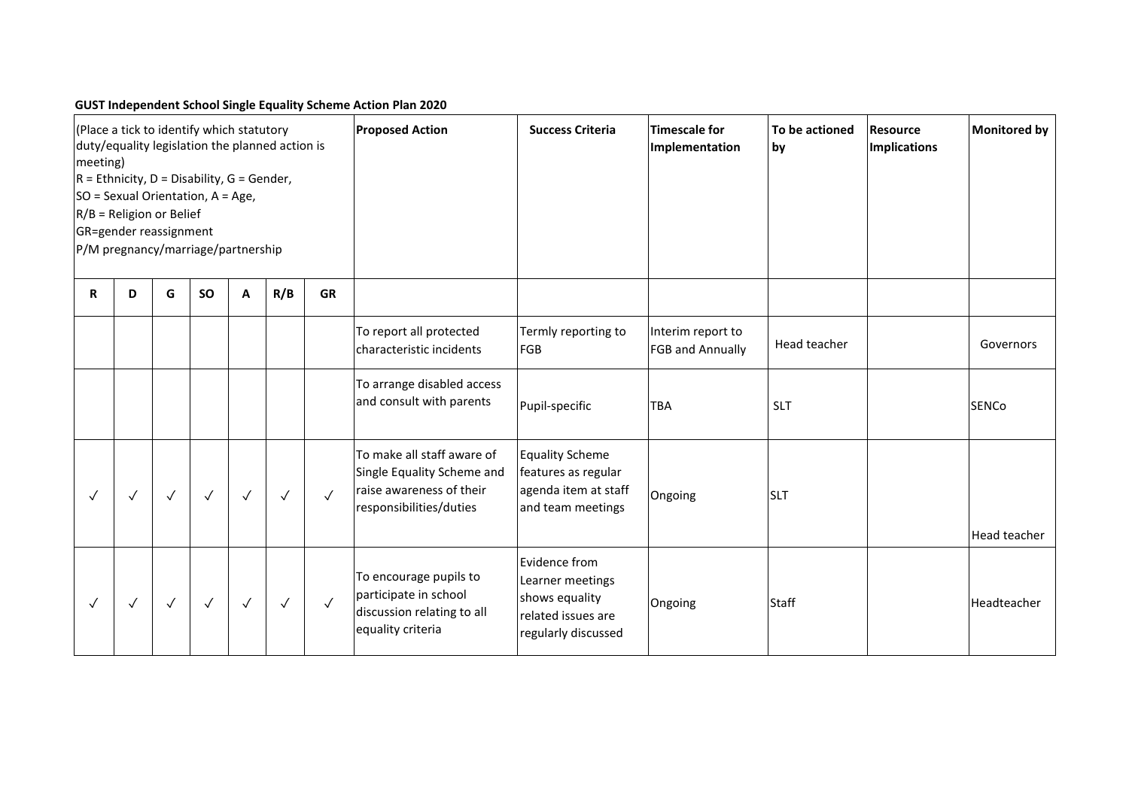# **GUST Independent School Single Equality Scheme Action Plan 2020**

| (Place a tick to identify which statutory<br>duty/equality legislation the planned action is<br>meeting)<br>$R =$ Ethnicity, D = Disability, G = Gender,<br>SO = Sexual Orientation, A = Age,<br>$R/B$ = Religion or Belief<br>GR=gender reassignment<br>P/M pregnancy/marriage/partnership |              |              |              |              |              |              | <b>Proposed Action</b>                                                                                          | <b>Success Criteria</b>                                                                          | <b>Timescale for</b><br>Implementation | To be actioned<br>by | <b>Resource</b><br>Implications | <b>Monitored by</b> |
|---------------------------------------------------------------------------------------------------------------------------------------------------------------------------------------------------------------------------------------------------------------------------------------------|--------------|--------------|--------------|--------------|--------------|--------------|-----------------------------------------------------------------------------------------------------------------|--------------------------------------------------------------------------------------------------|----------------------------------------|----------------------|---------------------------------|---------------------|
| $\mathbf R$                                                                                                                                                                                                                                                                                 | D            | G            | <b>SO</b>    | A            | R/B          | <b>GR</b>    |                                                                                                                 |                                                                                                  |                                        |                      |                                 |                     |
|                                                                                                                                                                                                                                                                                             |              |              |              |              |              |              | To report all protected<br>characteristic incidents                                                             | Termly reporting to<br>FGB                                                                       | Interim report to<br>FGB and Annually  | Head teacher         |                                 | Governors           |
|                                                                                                                                                                                                                                                                                             |              |              |              |              |              |              | To arrange disabled access<br>and consult with parents                                                          | Pupil-specific                                                                                   | <b>TBA</b>                             | <b>SLT</b>           |                                 | SENCo               |
| $\checkmark$                                                                                                                                                                                                                                                                                | $\sqrt{}$    | $\checkmark$ | $\checkmark$ | $\checkmark$ | $\checkmark$ | $\checkmark$ | To make all staff aware of<br>Single Equality Scheme and<br>raise awareness of their<br>responsibilities/duties | <b>Equality Scheme</b><br>features as regular<br>agenda item at staff<br>and team meetings       | Ongoing                                | <b>SLT</b>           |                                 | Head teacher        |
| $\checkmark$                                                                                                                                                                                                                                                                                | $\checkmark$ | $\sqrt{}$    | $\checkmark$ | $\checkmark$ | $\sqrt{}$    | $\checkmark$ | To encourage pupils to<br>participate in school<br>discussion relating to all<br>equality criteria              | Evidence from<br>Learner meetings<br>shows equality<br>related issues are<br>regularly discussed | Ongoing                                | Staff                |                                 | Headteacher         |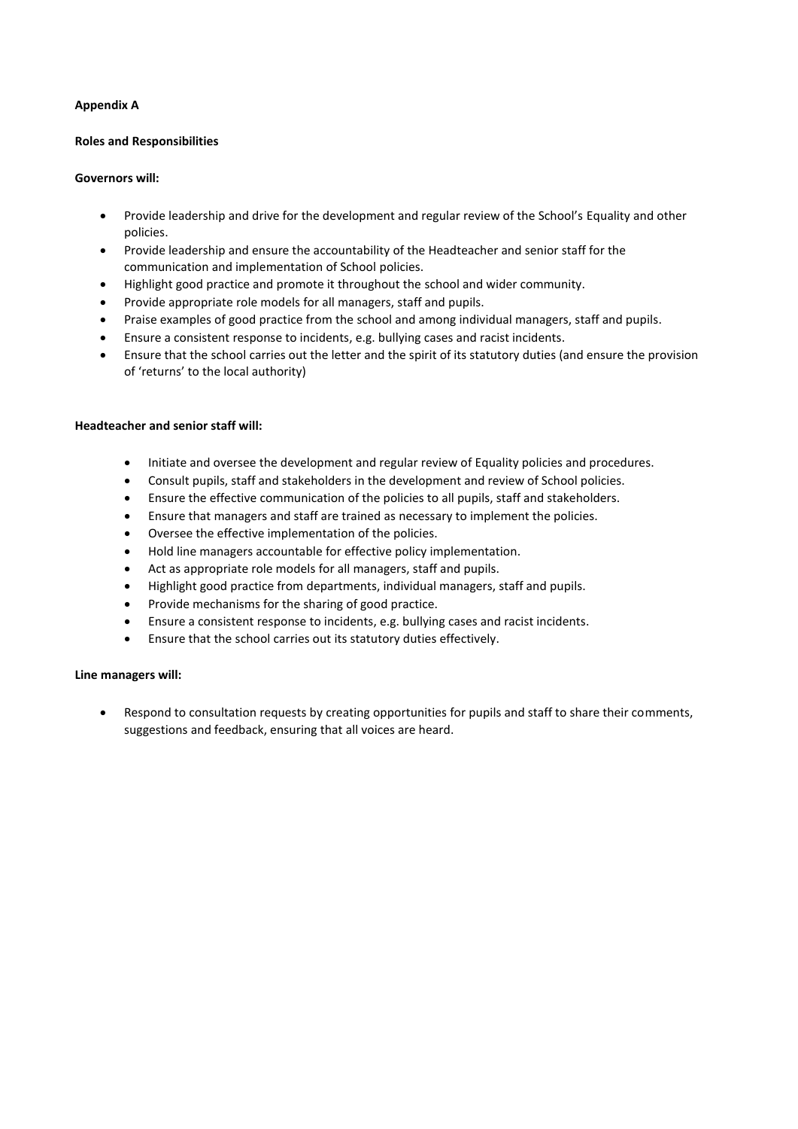## **Appendix A**

#### **Roles and Responsibilities**

### **Governors will:**

- Provide leadership and drive for the development and regular review of the School's Equality and other policies.
- Provide leadership and ensure the accountability of the Headteacher and senior staff for the communication and implementation of School policies.
- Highlight good practice and promote it throughout the school and wider community.
- Provide appropriate role models for all managers, staff and pupils.
- Praise examples of good practice from the school and among individual managers, staff and pupils.
- Ensure a consistent response to incidents, e.g. bullying cases and racist incidents.
- Ensure that the school carries out the letter and the spirit of its statutory duties (and ensure the provision of 'returns' to the local authority)

#### **Headteacher and senior staff will:**

- Initiate and oversee the development and regular review of Equality policies and procedures.
- Consult pupils, staff and stakeholders in the development and review of School policies.
- Ensure the effective communication of the policies to all pupils, staff and stakeholders.
- Ensure that managers and staff are trained as necessary to implement the policies.
- Oversee the effective implementation of the policies.
- Hold line managers accountable for effective policy implementation.
- Act as appropriate role models for all managers, staff and pupils.
- Highlight good practice from departments, individual managers, staff and pupils.
- Provide mechanisms for the sharing of good practice.
- Ensure a consistent response to incidents, e.g. bullying cases and racist incidents.
- Ensure that the school carries out its statutory duties effectively.

## **Line managers will:**

• Respond to consultation requests by creating opportunities for pupils and staff to share their comments, suggestions and feedback, ensuring that all voices are heard.